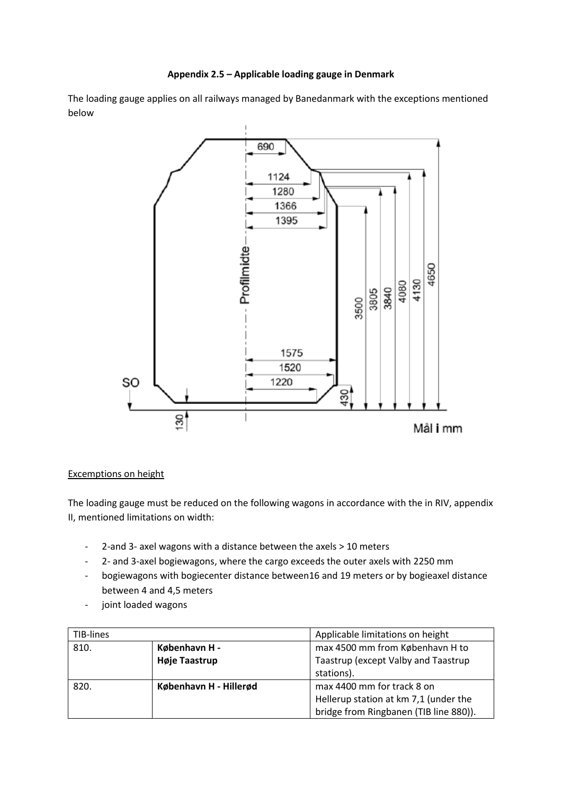## **Appendix 2.5 – Applicable loading gauge in Denmark**

The loading gauge applies on all railways managed by Banedanmark with the exceptions mentioned below



## Excemptions on height

The loading gauge must be reduced on the following wagons in accordance with the in RIV, appendix II, mentioned limitations on width:

- 2-and 3- axel wagons with a distance between the axels > 10 meters
- 2- and 3-axel bogiewagons, where the cargo exceeds the outer axels with 2250 mm
- bogiewagons with bogiecenter distance between16 and 19 meters or by bogieaxel distance between 4 and 4,5 meters
- joint loaded wagons

| TIB-lines |                        | Applicable limitations on height       |
|-----------|------------------------|----------------------------------------|
| 810.      | København H -          | max 4500 mm from København H to        |
|           | Høje Taastrup          | Taastrup (except Valby and Taastrup    |
|           |                        | stations).                             |
| 820.      | København H - Hillerød | max 4400 mm for track 8 on             |
|           |                        | Hellerup station at km 7,1 (under the  |
|           |                        | bridge from Ringbanen (TIB line 880)). |